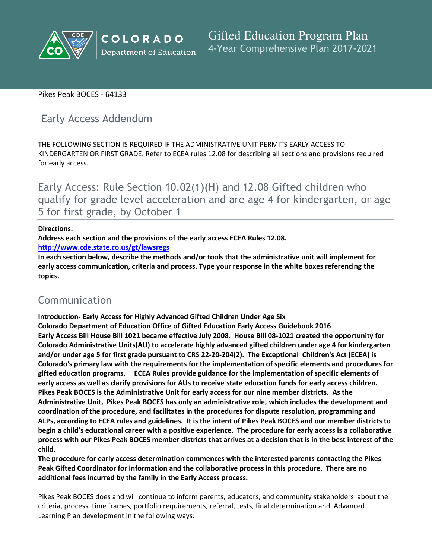

# Pikes Peak BOCES - 64133

# Early Access Addendum

THE FOLLOWING SECTION IS REQUIRED IF THE ADMINISTRATIVE UNIT PERMITS EARLY ACCESS TO KINDERGARTEN OR FIRST GRADE. Refer to ECEA rules 12.08 for describing all sections and provisions required for early access.

Early Access: Rule Section 10.02(1)(H) and 12.08 Gifted children who qualify for grade level acceleration and are age 4 for kindergarten, or age 5 for first grade, by October 1

#### **Directions:**

**Address each section and the provisions of the early access ECEA Rules 12.08.**

**<http://www.cde.state.co.us/gt/lawsregs>**

**In each section below, describe the methods and/or tools that the administrative unit will implement for early access communication, criteria and process. Type your response in the white boxes referencing the topics.**

# Communication

**Introduction- Early Access for Highly Advanced Gifted Children Under Age Six Colorado Department of Education Office of Gifted Education Early Access Guidebook 2016** Early Access Bill House Bill 1021 became effective July 2008. House Bill 08-1021 created the opportunity for **Colorado Administrative Units(AU) to accelerate highly advanced gifted children under age 4 for kindergarten and/or under age 5 for first grade pursuant to CRS 22-20-204(2). The Exceptional Children's Act (ECEA) is Colorado's primary law with the requirements for the implementation of specific elements and procedures for gifted education programs. ECEA Rules provide guidance for the implementation of specific elements of** early access as well as clarify provisions for AUs to receive state education funds for early access children. **Pikes Peak BOCES is the Administrative Unit for early access for our nine member districts. As the Administrative Unit, Pikes Peak BOCES has only an administrative role, which includes the development and coordination of the procedure, and facilitates in the procedures for dispute resolution, programming and** ALPs, according to ECEA rules and guidelines. It is the intent of Pikes Peak BOCES and our member districts to begin a child's educational career with a positive experience. The procedure for early access is a collaborative process with our Pikes Peak BOCES member districts that arrives at a decision that is in the best interest of the **child.**

**The procedure for early access determination commences with the interested parents contacting the Pikes Peak Gifted Coordinator for information and the collaborative process in this procedure. There are no additional fees incurred by the family in the Early Access process.**

Pikes Peak BOCES does and will continue to inform parents, educators, and community stakeholders about the criteria, process, time frames, portfolio requirements, referral, tests, final determination and Advanced Learning Plan development in the following ways: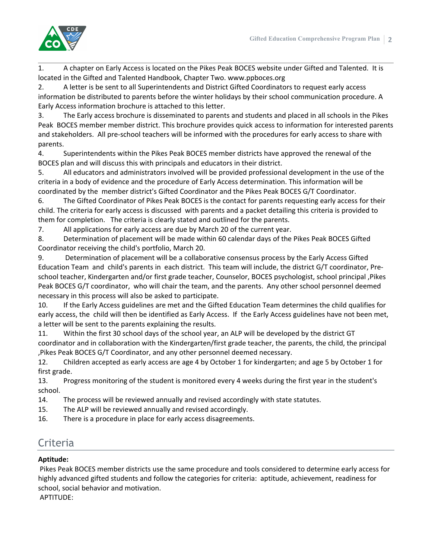

1. A chapter on Early Access is located on the Pikes Peak BOCES website under Gifted and Talented. It is located in the Gifted and Talented Handbook, Chapter Two. www.ppboces.org

2. A letter is be sent to all Superintendents and District Gifted Coordinators to request early access information be distributed to parents before the winter holidays by their school communication procedure. A Early Access information brochure is attached to this letter.

3. The Early access brochure is disseminated to parents and students and placed in all schools in the Pikes Peak BOCES member member district. This brochure provides quick access to information for interested parents and stakeholders. All pre-school teachers will be informed with the procedures for early access to share with parents.

4. Superintendents within the Pikes Peak BOCES member districts have approved the renewal of the BOCES plan and will discuss this with principals and educators in their district.

5. All educators and administrators involved will be provided professional development in the use of the criteria in a body of evidence and the procedure of Early Access determination. This information will be coordinated by the member district's Gifted Coordinator and the Pikes Peak BOCES G/T Coordinator.

6. The Gifted Coordinator of Pikes Peak BOCES is the contact for parents requesting early access for their child. The criteria for early access is discussed with parents and a packet detailing this criteria is provided to them for completion. The criteria is clearly stated and outlined for the parents.

7. All applications for early access are due by March 20 of the current year.

8. Determination of placement will be made within 60 calendar days of the Pikes Peak BOCES Gifted Coordinator receiving the child's portfolio, March 20.

9. Determination of placement will be a collaborative consensus process by the Early Access Gifted Education Team and child's parents in each district. This team will include, the district G/T coordinator, Preschool teacher, Kindergarten and/or first grade teacher, Counselor, BOCES psychologist, school principal ,Pikes Peak BOCES G/T coordinator, who will chair the team, and the parents. Any other school personnel deemed necessary in this process will also be asked to participate.

10. If the Early Access guidelines are met and the Gifted Education Team determines the child qualifies for early access, the child will then be identified as Early Access. If the Early Access guidelines have not been met, a letter will be sent to the parents explaining the results.

11. Within the first 30 school days of the school year, an ALP will be developed by the district GT coordinator and in collaboration with the Kindergarten/first grade teacher, the parents, the child, the principal ,Pikes Peak BOCES G/T Coordinator, and any other personnel deemed necessary.

12. Children accepted as early access are age 4 by October 1 for kindergarten; and age 5 by October 1 for first grade.

13. Progress monitoring of the student is monitored every 4 weeks during the first year in the student's school.

- 14. The process will be reviewed annually and revised accordingly with state statutes.
- 15. The ALP will be reviewed annually and revised accordingly.
- 16. There is a procedure in place for early access disagreements.

# **Criteria**

# **Aptitude:**

Pikes Peak BOCES member districts use the same procedure and tools considered to determine early access for highly advanced gifted students and follow the categories for criteria: aptitude, achievement, readiness for school, social behavior and motivation.

APTITUDE: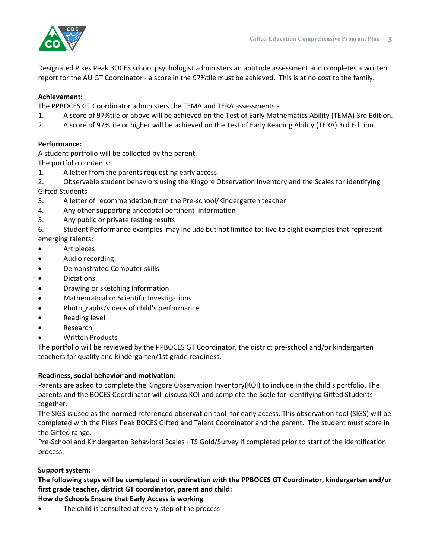

Designated Pikes Peak BOCES school psychologist administers an aptitude assessment and completes a written report for the AU GT Coordinator - a score in the 97%tile must be achieved. This is at no cost to the family.

# **Achievement:**

The PPBOCES GT Coordinator administers the TEMA and TERA assessments -

- 1. A score of 97%tile or above will be achieved on the Test of Early Mathematics Ability (TEMA) 3rd Edition.
- 2. A score of 97%tile or higher will be achieved on the Test of Early Reading Ability (TERA) 3rd Edition.

#### **Performance:**

A student portfolio will be collected by the parent.

The portfolio contents:

1. A letter from the parents requesting early access

2. Observable student behaviors using the KIngore Observation Inventory and the Scales for identifying Gifted Students

- 3. A letter of recommendation from the Pre-school/Kindergarten teacher
- 4. Any other supporting anecdotal pertinent information
- 5. Any public or private testing results

6. Student Performance examples may include but not limited to: five to eight examples that represent emerging talents;

- Art pieces
- **•** Audio recording
- Demonstrated Computer skills
- Dictations
- Drawing or sketching information
- Mathematical or Scientific Investigations
- Photographs/videos of child's performance
- Reading level
- Research
- Written Products

The portfolio will be reviewed by the PPBOCES GT Coordinator, the district pre-school and/or kindergarten teachers for quality and kindergarten/1st grade readiness.

#### **Readiness, social behavior and motivation:**

Parents are asked to complete the Kingore Observation Inventory(KOI) to include in the child's portfolio. The parents and the BOCES Coordinator will discuss KOI and complete the Scale for Identifying Gifted Students together.

The SIGS is used as the normed referenced observation tool for early access. This observation tool (SIGS) will be completed with the Pikes Peak BOCES Gifted and Talent Coordinator and the parent. The student must score in the Gifted range.

Pre-School and Kindergarten Behavioral Scales - TS Gold/Survey if completed prior to start of the identification process.

# **Support system:**

**The following steps will be completed in coordination with the PPBOCES GT Coordinator, kindergarten and/or first grade teacher, district GT coordinator, parent and child:**

#### **How do Schools Ensure that Early Access is working**

The child is consulted at every step of the process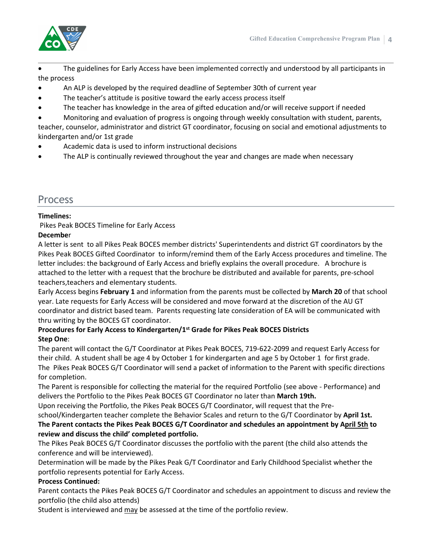

 The guidelines for Early Access have been implemented correctly and understood by all participants in the process

- An ALP is developed by the required deadline of September 30th of current year
- The teacher's attitude is positive toward the early access process itself
- The teacher has knowledge in the area of gifted education and/or will receive support if needed

 Monitoring and evaluation of progress is ongoing through weekly consultation with student, parents, teacher, counselor, administrator and district GT coordinator, focusing on social and emotional adjustments to kindergarten and/or 1st grade

- Academic data is used to inform instructional decisions
- The ALP is continually reviewed throughout the year and changes are made when necessary

# Process

#### **Timelines:**

Pikes Peak BOCES Timeline for Early Access

#### **Decembe**r

A letter is sent to all Pikes Peak BOCES member districts' Superintendents and district GT coordinators by the Pikes Peak BOCES Gifted Coordinator to inform/remind them of the Early Access procedures and timeline. The letter includes: the background of Early Access and briefly explains the overall procedure. A brochure is attached to the letter with a request that the brochure be distributed and available for parents, pre-school teachers,teachers and elementary students.

Early Access begins **February 1** and information from the parents must be collected by **March 20** of that school year. Late requests for Early Access will be considered and move forward at the discretion of the AU GT coordinator and district based team. Parents requesting late consideration of EA will be communicated with thru writing by the BOCES GT coordinator.

# **Procedures for Early Access to Kindergarten/1st Grade for Pikes Peak BOCES Districts Step One**:

The parent will contact the G/T Coordinator at Pikes Peak BOCES, 719-622-2099 and request Early Access for their child. A student shall be age 4 by October 1 for kindergarten and age 5 by October 1 for first grade. The Pikes Peak BOCES G/T Coordinator will send a packet of information to the Parent with specific directions for completion.

The Parent is responsible for collecting the material for the required Portfolio (see above - Performance) and delivers the Portfolio to the Pikes Peak BOCES GT Coordinator no later than **March 19th.**

Upon receiving the Portfolio, the Pikes Peak BOCES G/T Coordinator, will request that the Pre-

school/Kindergarten teacher complete the Behavior Scales and return to the G/T Coordinator by **April 1st.**

# **The Parent contacts the Pikes Peak BOCES G/T Coordinator and schedules an appointment by April 5th to review and discuss the child' completed portfolio.**

The Pikes Peak BOCES G/T Coordinator discusses the portfolio with the parent (the child also attends the conference and will be interviewed).

Determination will be made by the Pikes Peak G/T Coordinator and Early Childhood Specialist whether the portfolio represents potential for Early Access.

#### **Process Continued:**

Parent contacts the Pikes Peak BOCES G/T Coordinator and schedules an appointment to discuss and review the portfolio (the child also attends)

Student is interviewed and may be assessed at the time of the portfolio review.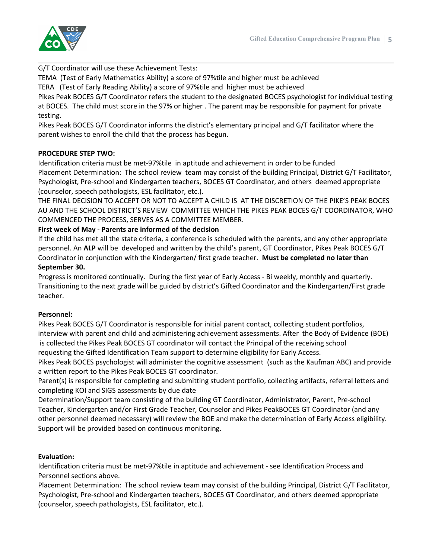

G/T Coordinator will use these Achievement Tests:

TEMA (Test of Early Mathematics Ability) a score of 97%tile and higher must be achieved

TERA (Test of Early Reading Ability) a score of 97%tile and higher must be achieved

Pikes Peak BOCES G/T Coordinator refers the student to the designated BOCES psychologist for individual testing at BOCES. The child must score in the 97% or higher . The parent may be responsible for payment for private testing.

Pikes Peak BOCES G/T Coordinator informs the district's elementary principal and G/T facilitator where the parent wishes to enroll the child that the process has begun.

#### **PROCEDURE STEP TWO:**

Identification criteria must be met-97%tile in aptitude and achievement in order to be funded Placement Determination: The school review team may consist of the building Principal, District G/T Facilitator, Psychologist, Pre-school and Kindergarten teachers, BOCES GT Coordinator, and others deemed appropriate (counselor, speech pathologists, ESL facilitator, etc.).

THE FINAL DECISION TO ACCEPT OR NOT TO ACCEPT A CHILD IS AT THE DISCRETION OF THE PIKE'S PEAK BOCES AU AND THE SCHOOL DISTRICT'S REVIEW COMMITTEE WHICH THE PIKES PEAK BOCES G/T COORDINATOR, WHO COMMENCED THE PROCESS, SERVES AS A COMMITTEE MEMBER.

#### **First week of May - Parents are informed of the decision**

If the child has met all the state criteria, a conference is scheduled with the parents, and any other appropriate personnel. An **ALP** will be developed and written by the child's parent, GT Coordinator, Pikes Peak BOCES G/T Coordinator in conjunction with the Kindergarten/ first grade teacher. **Must be completed no later than September 30.**

Progress is monitored continually. During the first year of Early Access - Bi weekly, monthly and quarterly. Transitioning to the next grade will be guided by district's Gifted Coordinator and the Kindergarten/First grade teacher.

#### **Personnel:**

Pikes Peak BOCES G/T Coordinator is responsible for initial parent contact, collecting student portfolios, interview with parent and child and administering achievement assessments. After the Body of Evidence (BOE) is collected the Pikes Peak BOCES GT coordinator will contact the Principal of the receiving school requesting the Gifted Identification Team support to determine eligibility for Early Access.

Pikes Peak BOCES psychologist will administer the cognitive assessment (such as the Kaufman ABC) and provide a written report to the Pikes Peak BOCES GT coordinator.

Parent(s) is responsible for completing and submitting student portfolio, collecting artifacts, referral letters and completing KOI and SIGS assessments by due date

Determination/Support team consisting of the building GT Coordinator, Administrator, Parent, Pre-school Teacher, Kindergarten and/or First Grade Teacher, Counselor and Pikes PeakBOCES GT Coordinator (and any other personnel deemed necessary) will review the BOE and make the determination of Early Access eligibility. Support will be provided based on continuous monitoring.

#### **Evaluation:**

Identification criteria must be met-97%tile in aptitude and achievement - see Identification Process and Personnel sections above.

Placement Determination: The school review team may consist of the building Principal, District G/T Facilitator, Psychologist, Pre-school and Kindergarten teachers, BOCES GT Coordinator, and others deemed appropriate (counselor, speech pathologists, ESL facilitator, etc.).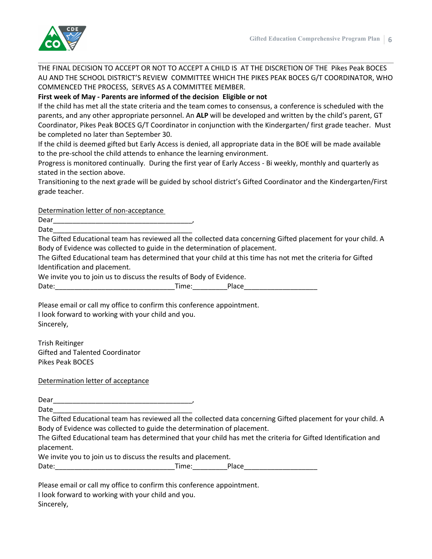

THE FINAL DECISION TO ACCEPT OR NOT TO ACCEPT A CHILD IS AT THE DISCRETION OF THE Pikes Peak BOCES AU AND THE SCHOOL DISTRICT'S REVIEW COMMITTEE WHICH THE PIKES PEAK BOCES G/T COORDINATOR, WHO COMMENCED THE PROCESS, SERVES AS A COMMITTEE MEMBER.

### **First week of May - Parents are informed of the decision Eligible or not**

If the child has met all the state criteria and the team comes to consensus, a conference is scheduled with the parents, and any other appropriate personnel. An **ALP** will be developed and written by the child's parent, GT Coordinator, Pikes Peak BOCES G/T Coordinator in conjunction with the Kindergarten/ first grade teacher. Must be completed no later than September 30.

If the child is deemed gifted but Early Access is denied, all appropriate data in the BOE will be made available to the pre-school the child attends to enhance the learning environment.

Progress is monitored continually. During the first year of Early Access - Bi weekly, monthly and quarterly as stated in the section above.

Transitioning to the next grade will be guided by school district's Gifted Coordinator and the Kindergarten/First grade teacher.

Determination letter of non-acceptance

Dear\_\_\_\_\_\_\_\_\_\_\_\_\_\_\_\_\_\_\_\_\_\_\_\_\_\_\_\_\_\_\_\_\_\_\_\_,

Date\_\_\_\_\_\_\_\_\_\_\_\_\_\_\_\_\_\_\_\_\_\_\_\_\_\_\_\_\_\_\_\_\_\_\_\_

The Gifted Educational team has reviewed all the collected data concerning Gifted placement for your child. A Body of Evidence was collected to guide in the determination of placement.

The Gifted Educational team has determined that your child at this time has not met the criteria for Gifted Identification and placement.

We invite you to join us to discuss the results of Body of Evidence.

Date:\_\_\_\_\_\_\_\_\_\_\_\_\_\_\_\_\_\_\_\_\_\_\_\_\_\_\_\_\_\_\_Time:\_\_\_\_\_\_\_\_\_Place\_\_\_\_\_\_\_\_\_\_\_\_\_\_\_\_\_\_\_

Please email or call my office to confirm this conference appointment. I look forward to working with your child and you. Sincerely,

Trish Reitinger Gifted and Talented Coordinator Pikes Peak BOCES

Determination letter of acceptance

Dear and the set of the set of the set of the set of the set of the set of the set of the set of the set of the set of the set of the set of the set of the set of the set of the set of the set of the set of the set of the

Date\_\_\_\_\_\_\_\_\_\_\_\_\_\_\_\_\_\_\_\_\_\_\_\_\_\_\_\_\_\_\_\_\_\_\_\_

The Gifted Educational team has reviewed all the collected data concerning Gifted placement for your child. A Body of Evidence was collected to guide the determination of placement.

The Gifted Educational team has determined that your child has met the criteria for Gifted Identification and placement.

We invite you to join us to discuss the results and placement. Date: Time: Place

Please email or call my office to confirm this conference appointment.

| rease email or can my onnec to communicate connerer |
|-----------------------------------------------------|
| I look forward to working with your child and you.  |
|                                                     |

Sincerely,